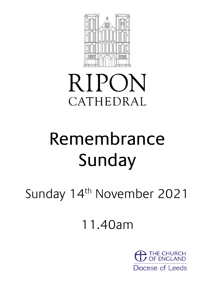

## **RIPON** CATHEDRAL

# Remembrance Sunday

Sunday 14<sup>th</sup> November 2021

11.40am

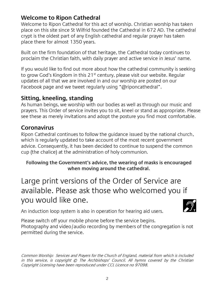## **Welcome to Ripon Cathedral**

Welcome to Ripon Cathedral for this act of worship. Christian worship has taken place on this site since St Wilfrid founded the Cathedral in 672 AD. The cathedral crypt is the oldest part of any English cathedral and regular prayer has taken place there for almost 1350 years.

Built on the firm foundation of that heritage, the Cathedral today continues to proclaim the Christian faith, with daily prayer and active service in Jesus' name.

If you would like to find out more about how the cathedral community is seeking to grow God's Kingdom in this  $21<sup>st</sup>$  century, please visit our website. Regular updates of all that we are involved in and our worship are posted on our Facebook page and we tweet regularly using "@riponcathedral".

### **Sitting, kneeling, standing**

As human beings, we worship with our bodies as well as through our music and prayers. This Order of service invites you to sit, kneel or stand as appropriate. Please see these as merely invitations and adopt the posture you find most comfortable.

## **Coronavirus**

Ripon Cathedral continues to follow the guidance issued by the national church, which is regularly updated to take account of the most recent government advice. Consequently, it has been decided to continue to suspend the common cup (the chalice) at the administration of holy communion.

#### **Following the Government's advice, the wearing of masks is encouraged when moving around the cathedral.**

## Large print versions of the Order of Service are available. Please ask those who welcomed you if you would like one.

An induction loop system is also in operation for hearing aid users.

Please switch off your mobile phone before the service begins. Photography and video/audio recording by members of the congregation is not permitted during the service.

Common Worship: Services and Prayers for the Church of England, material from which is included in this service, is copyright © The Archbishops' Council. All hymns covered by the Christian Copyright Licensing have been reproduced under CCL Licence no 97098.

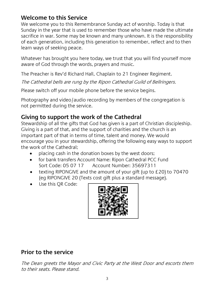#### **Welcome to this Service**

We welcome you to this Remembrance Sunday act of worship. Today is that Sunday in the year that is used to remember those who have made the ultimate sacrifice in war. Some may be known and many unknown. It is the responsibility of each generation, including this generation to remember, reflect and to then learn ways of seeking peace.

Whatever has brought you here today, we trust that you will find yourself more aware of God through the words, prayers and music.

The Preacher is Rev'd Richard Hall, Chaplain to 21 Engineer Regiment.

The Cathedral bells are rung by the Ripon Cathedral Guild of Bellringers.

Please switch off your mobile phone before the service begins.

Photography and video/audio recording by members of the congregation is not permitted during the service.

#### **Giving to support the work of the Cathedral**

Stewardship of all the gifts that God has given is a part of Christian discipleship. Giving is a part of that, and the support of charities and the church is an important part of that in terms of time, talent and money. We would encourage you in your stewardship, offering the following easy ways to support the work of the Cathedral;

- placing cash in the donation boxes by the west doors;
- for bank transfers Account Name: Ripon Cathedral PCC Fund Sort Code: 05 07 17 Account Number: 35697311
- texting RIPONGIVE and the amount of your gift (up to £20) to 70470 (eg RIPONGIVE 20 (Texts cost gift plus a standard message).
- Use this OR Code:



## **Prior to the service**

The Dean greets the Mayor and Civic Party at the West Door and escorts them to their seats. Please stand.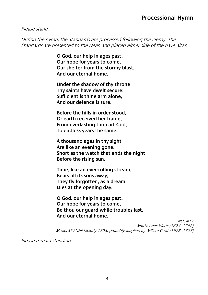#### Please stand.

During the hymn, the Standards are processed following the clergy. The Standards are presented to the Dean and placed either side of the nave altar.

> **O God, our help in ages past, Our hope for years to come, Our shelter from the stormy blast, And our eternal home.**

**Under the shadow of thy throne Thy saints have dwelt secure; Sufficient is thine arm alone, And our defence is sure.**

**Before the hills in order stood, Or earth received her frame, From everlasting thou art God, To endless years the same.**

**A thousand ages in thy sight Are like an evening gone, Short as the watch that ends the night Before the rising sun.**

**Time, like an ever-rolling stream, Bears all its sons away; They fly forgotten, as a dream Dies at the opening day.**

**O God, our help in ages past, Our hope for years to come, Be thou our guard while troubles last, And our eternal home.**

NEH 417 Words: Isaac Watts (1674–1748) Music: ST ANNE Melody 1708, probably supplied by William Croft (1678–1727)

Please remain standing.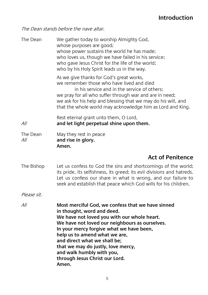## **Introduction**

The Dean stands before the nave altar.

| The Dean        | We gather today to worship Almighty God,<br>whose purposes are good;<br>whose power sustains the world he has made;<br>who loves us, though we have failed in his service;<br>who gave Jesus Christ for the life of the world;<br>who by his Holy Spirit leads us in the way.                                                                                                                               |
|-----------------|-------------------------------------------------------------------------------------------------------------------------------------------------------------------------------------------------------------------------------------------------------------------------------------------------------------------------------------------------------------------------------------------------------------|
|                 | As we give thanks for God's great works,<br>we remember those who have lived and died<br>in his service and in the service of others:<br>we pray for all who suffer through war and are in need;<br>we ask for his help and blessing that we may do his will, and<br>that the whole world may acknowledge him as Lord and King.                                                                             |
| All             | Rest eternal grant unto them, O Lord,<br>and let light perpetual shine upon them.                                                                                                                                                                                                                                                                                                                           |
| The Dean<br>All | May they rest in peace<br>and rise in glory.<br>Amen.                                                                                                                                                                                                                                                                                                                                                       |
|                 | <b>Act of Penitence</b>                                                                                                                                                                                                                                                                                                                                                                                     |
| The Bishop      | Let us confess to God the sins and shortcomings of the world;<br>its pride, its selfishness, its greed; its evil divisions and hatreds.<br>Let us confess our share in what is wrong, and our failure to<br>seek and establish that peace which God wills for his children.                                                                                                                                 |
| Please sit.     |                                                                                                                                                                                                                                                                                                                                                                                                             |
| All             | Most merciful God, we confess that we have sinned<br>in thought, word and deed.<br>We have not loved you with our whole heart.<br>We have not loved our neighbours as ourselves.<br>In your mercy forgive what we have been,<br>help us to amend what we are,<br>and direct what we shall be;<br>that we may do justly, love mercy,<br>and walk humbly with you,<br>through Jesus Christ our Lord.<br>Amen. |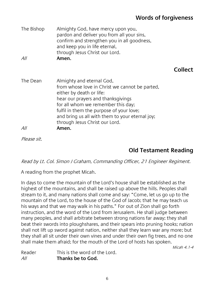## **Words of forgiveness**

| The Bishop<br>All | Almighty God, have mercy upon you,<br>pardon and deliver you from all your sins,<br>confirm and strengthen you in all goodness,<br>and keep you in life eternal,<br>through Jesus Christ our Lord.<br>Amen.                                                                                                                   |                |
|-------------------|-------------------------------------------------------------------------------------------------------------------------------------------------------------------------------------------------------------------------------------------------------------------------------------------------------------------------------|----------------|
|                   |                                                                                                                                                                                                                                                                                                                               | <b>Collect</b> |
| The Dean<br>All   | Almighty and eternal God,<br>from whose love in Christ we cannot be parted,<br>either by death or life:<br>hear our prayers and thanksqivings<br>for all whom we remember this day;<br>fulfil in them the purpose of your love;<br>and bring us all with them to your eternal joy;<br>through Jesus Christ our Lord.<br>Amen. |                |
| $\sim$ $\prime$   |                                                                                                                                                                                                                                                                                                                               |                |

Please sit.

## **Old Testament Reading**

Read by Lt. Col. Simon J Graham, Commanding Officer, 21 Engineer Regiment.

A reading from the prophet Micah.

In days to come the mountain of the Lord's house shall be established as the highest of the mountains, and shall be raised up above the hills. Peoples shall stream to it, and many nations shall come and say: "Come, let us go up to the mountain of the Lord, to the house of the God of Jacob; that he may teach us his ways and that we may walk in his paths." For out of Zion shall go forth instruction, and the word of the Lord from Jerusalem. He shall judge between many peoples, and shall arbitrate between strong nations far away; they shall beat their swords into ploughshares, and their spears into pruning hooks; nation shall not lift up sword against nation, neither shall they learn war any more; but they shall all sit under their own vines and under their own fig trees, and no one shall make them afraid; for the mouth of the Lord of hosts has spoken.

Micah  $4.1-4$ 

| Reader | This is the word of the Lord. |
|--------|-------------------------------|
| All    | Thanks be to God.             |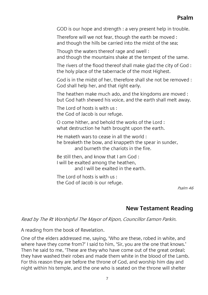#### **Psalm**

GOD is our hope and strength : a very present help in trouble.

Therefore will we not fear, though the earth be moved : and though the hills be carried into the midst of the sea;

Though the waters thereof rage and swell : and though the mountains shake at the tempest of the same.

The rivers of the flood thereof shall make glad the city of God : the holy place of the tabernacle of the most Highest.

God is in the midst of her, therefore shall she not be removed : God shall help her, and that right early.

The heathen make much ado, and the kingdoms are moved : but God hath shewed his voice, and the earth shall melt away.

The Lord of hosts is with us : the God of Jacob is our refuge.

O come hither, and behold the works of the Lord : what destruction he hath brought upon the earth.

He maketh wars to cease in all the world : he breaketh the bow, and knappeth the spear in sunder, and burneth the chariots in the fire.

Be still then, and know that Lam God  $\cdot$ I will be exalted among the heathen, and I will be exalted in the earth.

The Lord of hosts is with us : the God of Jacob is our refuge.

Psalm 46

#### **New Testament Reading**

Read by The Rt Worshipful The Mayor of Ripon, Councillor Eamon Parkin.

A reading from the book of Revelation.

One of the elders addressed me, saying, 'Who are these, robed in white, and where have they come from?' I said to him, 'Sir, you are the one that knows.' Then he said to me, 'These are they who have come out of the great ordeal; they have washed their robes and made them white in the blood of the Lamb. For this reason they are before the throne of God, and worship him day and night within his temple, and the one who is seated on the throne will shelter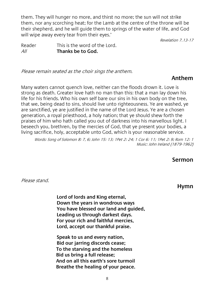them. They will hunger no more, and thirst no more; the sun will not strike them, nor any scorching heat; for the Lamb at the centre of the throne will be their shepherd, and he will guide them to springs of the water of life, and God will wipe away every tear from their eyes.'

Revelation 7.13-17

Reader This is the word of the Lord. All **Thanks be to God.**

Please remain seated as the choir sings the anthem.

#### **Anthem**

Many waters cannot quench love, neither can the floods drown it. Love is strong as death. Greater love hath no man than this: that a man lay down his life for his friends. Who his own self bare our sins in his own body on the tree, that we, being dead to sins, should live unto righteousness. Ye are washed, ye are sanctified, ye are justified in the name of the Lord Jesus. Ye are a chosen generation, a royal priesthood, a holy nation; that ye should shew forth the praises of him who hath called you out of darkness into his marvellous light. I beseech you, brethren, by the mercies of God, that ye present your bodies, a living sacrifice, holy, acceptable unto God, which is your reasonable service.

Words: Song of Solomon 8: 7, 6; John 15: 13; 1Pet 2: 24; 1 Cor 6: 11; 1Pet 2: 9; Rom 12: 1 Music: John Ireland (1879-1962)

#### **Sermon**

Please stand.

**Hymn**

**Lord of lords and King eternal, Down the years in wondrous ways You have blessed our land and guided, Leading us through darkest days. For your rich and faithful mercies, Lord, accept our thankful praise.**

**Speak to us and every nation, Bid our jarring discords cease; To the starving and the homeless Bid us bring a full release; And on all this earth's sore turmoil Breathe the healing of your peace.**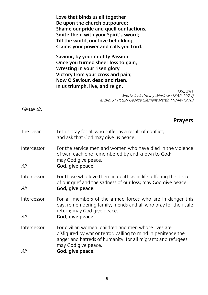|                    | Love that binds us all together<br>Be upon the church outpoured;<br>Shame our pride and quell our factions,<br>Smite them with your Spirit's sword;<br>Till the world, our love beholding,<br>Claims your power and calls you Lord. |
|--------------------|-------------------------------------------------------------------------------------------------------------------------------------------------------------------------------------------------------------------------------------|
|                    | Saviour, by your mighty Passion<br>Once you turned sheer loss to gain,<br>Wresting in your risen glory<br>Victory from your cross and pain;<br>Now O Saviour, dead and risen,<br>In us triumph, live, and reign.                    |
|                    | A&M 581<br>Words: Jack Copley Winslow (1882-1974)<br>Music: ST HELEN George Clement Martin (1844-1916)                                                                                                                              |
| Please sit.        |                                                                                                                                                                                                                                     |
|                    | <b>Prayers</b>                                                                                                                                                                                                                      |
| The Dean           | Let us pray for all who suffer as a result of conflict,<br>and ask that God may give us peace:                                                                                                                                      |
| Intercessor        | For the service men and women who have died in the violence<br>of war, each one remembered by and known to God;<br>may God give peace.                                                                                              |
| All                | God, give peace.                                                                                                                                                                                                                    |
| Intercessor        | For those who love them in death as in life, offering the distress<br>of our grief and the sadness of our loss; may God give peace.                                                                                                 |
| All                | God, give peace.                                                                                                                                                                                                                    |
| Intercessor        | For all members of the armed forces who are in danger this<br>day, remembering family, friends and all who pray for their safe<br>return; may God give peace.                                                                       |
| All                | God, give peace.                                                                                                                                                                                                                    |
| Intercessor<br>All | For civilian women, children and men whose lives are<br>disfigured by war or terror, calling to mind in penitence the<br>anger and hatreds of humanity; for all migrants and refugees;<br>may God give peace.<br>God, give peace.   |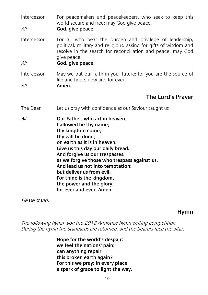Intercessor For peacemakers and peacekeepers, who seek to keep this world secure and free; may God give peace.

All **God, give peace.**

Intercessor For all who bear the burden and privilege of leadership, political, military and religious; asking for gifts of wisdom and resolve in the search for reconciliation and peace; may God give peace.

All **God, give peace.**

Intercessor May we put our faith in your future; for you are the source of life and hope, now and for ever.

All **Amen.**

#### **The Lord's Prayer**

The Dean Let us pray with confidence as our Saviour taught us

All **Our Father, who art in heaven, hallowed be thy name; thy kingdom come; thy will be done; on earth as it is in heaven. Give us this day our daily bread. And forgive us our trespasses, as we forgive those who trespass against us. And lead us not into temptation; but deliver us from evil. For thine is the kingdom, the power and the glory, for ever and ever. Amen.**

Please stand.

#### **Hymn**

The following hymn won the 2018 Armistice hymn-writing competition. During the hymn the Standards are returned, and the bearers face the altar.

> **Hope for the world's despair: we feel the nations' pain; can anything repair this broken earth again? For this we pray: in every place a spark of grace to light the way.**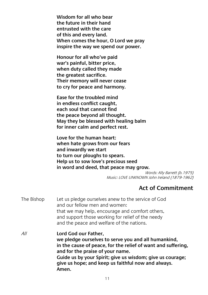**Wisdom for all who bear the future in their hand entrusted with the care of this and every land. When comes the hour, O Lord we pray inspire the way we spend our power.**

**Honour for all who've paid war's painful, bitter price, when duty called they made the greatest sacrifice. Their memory will never cease to cry for peace and harmony.**

**Ease for the troubled mind in endless conflict caught, each soul that cannot find the peace beyond all thought. May they be blessed with healing balm for inner calm and perfect rest.**

**Love for the human heart: when hate grows from our fears and inwardly we start to turn our ploughs to spears. Help us to sow love's precious seed in word and deed, that peace may grow.**

> Words: Ally Barrett (b. 1975) Music: LOVE UNKNOWN John Ireland (1879-1962)

#### **Act of Commitment**

| The Bishop | Let us pledge ourselves anew to the service of God<br>and our fellow men and women:<br>that we may help, encourage and comfort others,<br>and support those working for relief of the needy<br>and the peace and welfare of the nations.                                                                    |
|------------|-------------------------------------------------------------------------------------------------------------------------------------------------------------------------------------------------------------------------------------------------------------------------------------------------------------|
| All        | Lord God our Father,<br>we pledge ourselves to serve you and all humankind,<br>in the cause of peace, for the relief of want and suffering,<br>and for the praise of your name.<br>Guide us by your Spirit; give us wisdom; give us courage;<br>give us hope; and keep us faithful now and always.<br>Amen. |